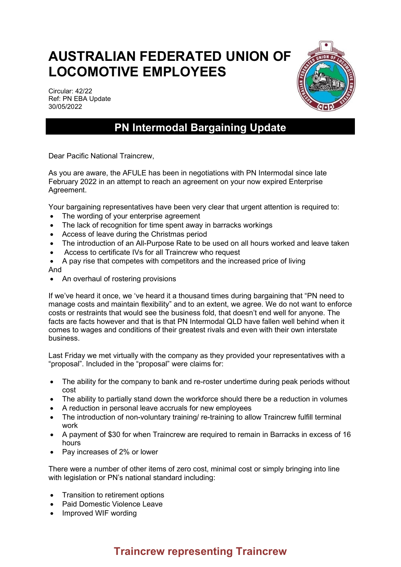## **AUSTRALIAN FEDERATED UNION OF LOCOMOTIVE EMPLOYEES**

Circular: 42/22 Ref: PN EBA Update 30/05/2022



## **PN Intermodal Bargaining Update**

Dear Pacific National Traincrew,

As you are aware, the AFULE has been in negotiations with PN Intermodal since late February 2022 in an attempt to reach an agreement on your now expired Enterprise Agreement.

Your bargaining representatives have been very clear that urgent attention is required to:

- The wording of your enterprise agreement
- The lack of recognition for time spent away in barracks workings
- Access of leave during the Christmas period
- The introduction of an All-Purpose Rate to be used on all hours worked and leave taken
- Access to certificate IVs for all Traincrew who request
- A pay rise that competes with competitors and the increased price of living

And

• An overhaul of rostering provisions

If we've heard it once, we 've heard it a thousand times during bargaining that "PN need to manage costs and maintain flexibility" and to an extent, we agree. We do not want to enforce costs or restraints that would see the business fold, that doesn't end well for anyone. The facts are facts however and that is that PN Intermodal QLD have fallen well behind when it comes to wages and conditions of their greatest rivals and even with their own interstate business.

Last Friday we met virtually with the company as they provided your representatives with a "proposal". Included in the "proposal" were claims for:

- The ability for the company to bank and re-roster undertime during peak periods without cost
- The ability to partially stand down the workforce should there be a reduction in volumes
- A reduction in personal leave accruals for new employees
- The introduction of non-voluntary training/ re-training to allow Traincrew fulfill terminal work
- A payment of \$30 for when Traincrew are required to remain in Barracks in excess of 16 hours
- Pay increases of 2% or lower

There were a number of other items of zero cost, minimal cost or simply bringing into line with legislation or PN's national standard including:

- Transition to retirement options
- Paid Domestic Violence Leave
- Improved WIF wording

## **Traincrew representing Traincrew**